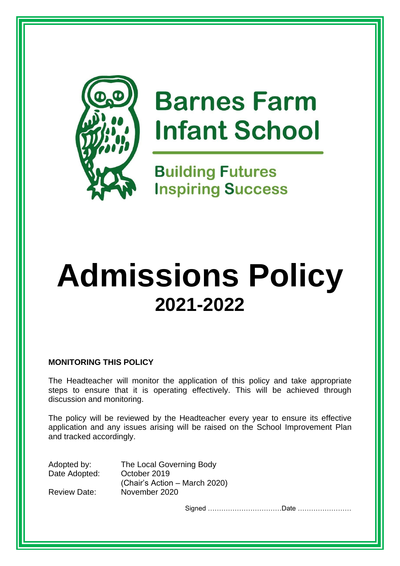

# **Barnes Farm Infant School**

**Building Futures Inspiring Success** 

# **Admissions Policy 2021-2022**

# **MONITORING THIS POLICY**

The Headteacher will monitor the application of this policy and take appropriate steps to ensure that it is operating effectively. This will be achieved through discussion and monitoring.

The policy will be reviewed by the Headteacher every year to ensure its effective application and any issues arising will be raised on the School Improvement Plan and tracked accordingly.

Adopted by: The Local Governing Body Date Adopted: October 2019 (Chair's Action – March 2020) Review Date: November 2020

Signed ……………………………Date ……………………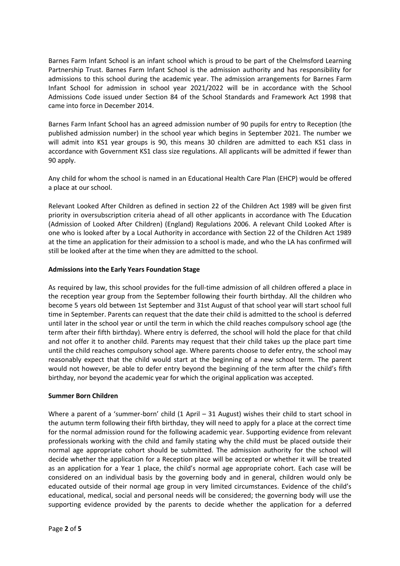Barnes Farm Infant School is an infant school which is proud to be part of the Chelmsford Learning Partnership Trust. Barnes Farm Infant School is the admission authority and has responsibility for admissions to this school during the academic year. The admission arrangements for Barnes Farm Infant School for admission in school year 2021/2022 will be in accordance with the School Admissions Code issued under Section 84 of the School Standards and Framework Act 1998 that came into force in December 2014.

Barnes Farm Infant School has an agreed admission number of 90 pupils for entry to Reception (the published admission number) in the school year which begins in September 2021. The number we will admit into KS1 year groups is 90, this means 30 children are admitted to each KS1 class in accordance with Government KS1 class size regulations. All applicants will be admitted if fewer than 90 apply.

Any child for whom the school is named in an Educational Health Care Plan (EHCP) would be offered a place at our school.

Relevant Looked After Children as defined in section 22 of the Children Act 1989 will be given first priority in oversubscription criteria ahead of all other applicants in accordance with The Education (Admission of Looked After Children) (England) Regulations 2006. A relevant Child Looked After is one who is looked after by a Local Authority in accordance with Section 22 of the Children Act 1989 at the time an application for their admission to a school is made, and who the LA has confirmed will still be looked after at the time when they are admitted to the school.

## **Admissions into the Early Years Foundation Stage**

As required by law, this school provides for the full-time admission of all children offered a place in the reception year group from the September following their fourth birthday. All the children who become 5 years old between 1st September and 31st August of that school year will start school full time in September. Parents can request that the date their child is admitted to the school is deferred until later in the school year or until the term in which the child reaches compulsory school age (the term after their fifth birthday). Where entry is deferred, the school will hold the place for that child and not offer it to another child. Parents may request that their child takes up the place part time until the child reaches compulsory school age. Where parents choose to defer entry, the school may reasonably expect that the child would start at the beginning of a new school term. The parent would not however, be able to defer entry beyond the beginning of the term after the child's fifth birthday, nor beyond the academic year for which the original application was accepted.

#### **Summer Born Children**

Where a parent of a 'summer-born' child (1 April – 31 August) wishes their child to start school in the autumn term following their fifth birthday, they will need to apply for a place at the correct time for the normal admission round for the following academic year. Supporting evidence from relevant professionals working with the child and family stating why the child must be placed outside their normal age appropriate cohort should be submitted. The admission authority for the school will decide whether the application for a Reception place will be accepted or whether it will be treated as an application for a Year 1 place, the child's normal age appropriate cohort. Each case will be considered on an individual basis by the governing body and in general, children would only be educated outside of their normal age group in very limited circumstances. Evidence of the child's educational, medical, social and personal needs will be considered; the governing body will use the supporting evidence provided by the parents to decide whether the application for a deferred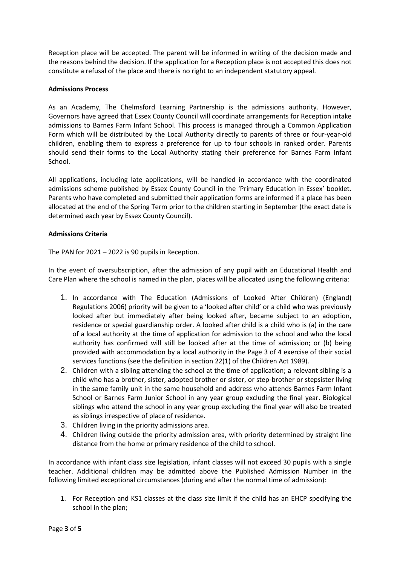Reception place will be accepted. The parent will be informed in writing of the decision made and the reasons behind the decision. If the application for a Reception place is not accepted this does not constitute a refusal of the place and there is no right to an independent statutory appeal.

## **Admissions Process**

As an Academy, The Chelmsford Learning Partnership is the admissions authority. However, Governors have agreed that Essex County Council will coordinate arrangements for Reception intake admissions to Barnes Farm Infant School. This process is managed through a Common Application Form which will be distributed by the Local Authority directly to parents of three or four-year-old children, enabling them to express a preference for up to four schools in ranked order. Parents should send their forms to the Local Authority stating their preference for Barnes Farm Infant School.

All applications, including late applications, will be handled in accordance with the coordinated admissions scheme published by Essex County Council in the 'Primary Education in Essex' booklet. Parents who have completed and submitted their application forms are informed if a place has been allocated at the end of the Spring Term prior to the children starting in September (the exact date is determined each year by Essex County Council).

## **Admissions Criteria**

The PAN for 2021 – 2022 is 90 pupils in Reception.

In the event of oversubscription, after the admission of any pupil with an Educational Health and Care Plan where the school is named in the plan, places will be allocated using the following criteria:

- 1. In accordance with The Education (Admissions of Looked After Children) (England) Regulations 2006) priority will be given to a 'looked after child' or a child who was previously looked after but immediately after being looked after, became subject to an adoption, residence or special guardianship order. A looked after child is a child who is (a) in the care of a local authority at the time of application for admission to the school and who the local authority has confirmed will still be looked after at the time of admission; or (b) being provided with accommodation by a local authority in the Page 3 of 4 exercise of their social services functions (see the definition in section 22(1) of the Children Act 1989).
- 2. Children with a sibling attending the school at the time of application; a relevant sibling is a child who has a brother, sister, adopted brother or sister, or step-brother or stepsister living in the same family unit in the same household and address who attends Barnes Farm Infant School or Barnes Farm Junior School in any year group excluding the final year. Biological siblings who attend the school in any year group excluding the final year will also be treated as siblings irrespective of place of residence.
- 3. Children living in the priority admissions area.
- 4. Children living outside the priority admission area, with priority determined by straight line distance from the home or primary residence of the child to school.

In accordance with infant class size legislation, infant classes will not exceed 30 pupils with a single teacher. Additional children may be admitted above the Published Admission Number in the following limited exceptional circumstances (during and after the normal time of admission):

1. For Reception and KS1 classes at the class size limit if the child has an EHCP specifying the school in the plan;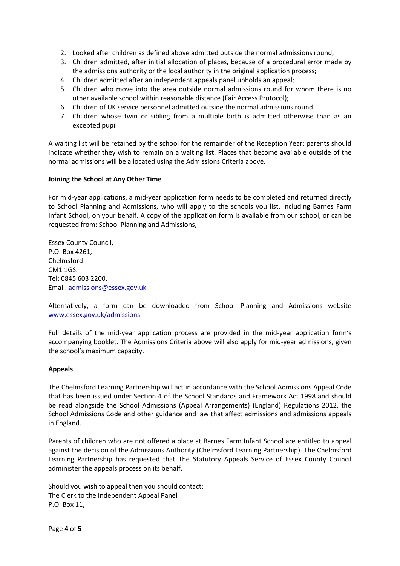- 2. Looked after children as defined above admitted outside the normal admissions round;
- 3. Children admitted, after initial allocation of places, because of a procedural error made by the admissions authority or the local authority in the original application process;
- 4. Children admitted after an independent appeals panel upholds an appeal;
- 5. Children who move into the area outside normal admissions round for whom there is no other available school within reasonable distance (Fair Access Protocol);
- 6. Children of UK service personnel admitted outside the normal admissions round.
- 7. Children whose twin or sibling from a multiple birth is admitted otherwise than as an excepted pupil

A waiting list will be retained by the school for the remainder of the Reception Year; parents should indicate whether they wish to remain on a waiting list. Places that become available outside of the normal admissions will be allocated using the Admissions Criteria above.

#### **Joining the School at Any Other Time**

For mid-year applications, a mid-year application form needs to be completed and returned directly to School Planning and Admissions, who will apply to the schools you list, including Barnes Farm Infant School, on your behalf. A copy of the application form is available from our school, or can be requested from: School Planning and Admissions,

Essex County Council, P.O. Box 4261, Chelmsford CM1 1GS. Tel: 0845 603 2200. Email: [admissions@essex.gov.uk](mailto:admissions@essex.gov.uk)

Alternatively, a form can be downloaded from School Planning and Admissions website [www.essex.gov.uk/admissions](http://www.essex.gov.uk/admissions)

Full details of the mid-year application process are provided in the mid-year application form's accompanying booklet. The Admissions Criteria above will also apply for mid-year admissions, given the school's maximum capacity.

#### **Appeals**

The Chelmsford Learning Partnership will act in accordance with the School Admissions Appeal Code that has been issued under Section 4 of the School Standards and Framework Act 1998 and should be read alongside the School Admissions (Appeal Arrangements) (England) Regulations 2012, the School Admissions Code and other guidance and law that affect admissions and admissions appeals in England.

Parents of children who are not offered a place at Barnes Farm Infant School are entitled to appeal against the decision of the Admissions Authority (Chelmsford Learning Partnership). The Chelmsford Learning Partnership has requested that The Statutory Appeals Service of Essex County Council administer the appeals process on its behalf.

Should you wish to appeal then you should contact: The Clerk to the Independent Appeal Panel P.O. Box 11,